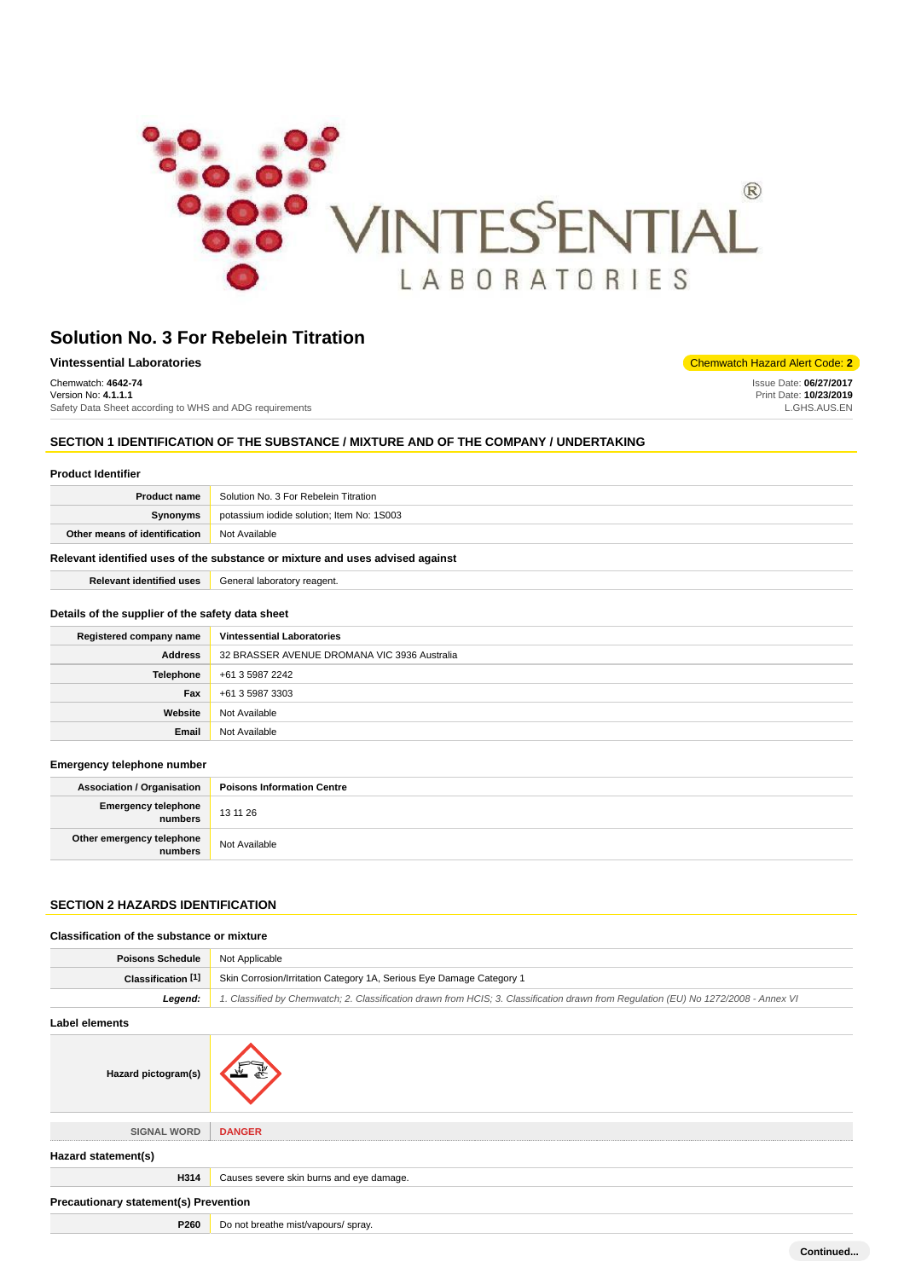

| Vintessential Laboratories                              | Chemwatch Hazard Alert Code: 2 |
|---------------------------------------------------------|--------------------------------|
| Chemwatch: 4642-74                                      | Issue Date: 06/27/2017         |
| Version No: 4.1.1.1                                     | Print Date: 10/23/2019         |
| Safety Data Sheet according to WHS and ADG requirements | L.GHS.AUS.EN                   |

# **SECTION 1 IDENTIFICATION OF THE SUBSTANCE / MIXTURE AND OF THE COMPANY / UNDERTAKING**

| <b>Product Identifier</b>                        |                                                                               |
|--------------------------------------------------|-------------------------------------------------------------------------------|
| <b>Product name</b>                              | Solution No. 3 For Rebelein Titration                                         |
| Synonyms                                         | potassium iodide solution; Item No: 1S003                                     |
| Other means of identification                    | Not Available                                                                 |
|                                                  | Relevant identified uses of the substance or mixture and uses advised against |
| <b>Relevant identified uses</b>                  | General laboratory reagent.                                                   |
| Details of the supplier of the safety data sheet |                                                                               |
| Registered company name                          | <b>Vintessential Laboratories</b>                                             |
| <b>Address</b>                                   | 32 BRASSER AVENUE DROMANA VIC 3936 Australia                                  |
| Telephone                                        | +61 3 5987 2242                                                               |
| Fax                                              | +61 3 5987 3303                                                               |
| Website                                          | Not Available                                                                 |
| Email                                            | Not Available                                                                 |
|                                                  |                                                                               |

### **Emergency telephone number**

| <b>Association / Organisation</b>      | <b>Poisons Information Centre</b> |
|----------------------------------------|-----------------------------------|
| Emergency telephone<br>numbers         | 13 11 26                          |
| Other emergency telephone<br>  numbers | Not Available                     |

# **SECTION 2 HAZARDS IDENTIFICATION**

### **Classification of the substance or mixture**

| <b>Poisons Schedule</b>                      | Not Applicable                                                                                                                      |
|----------------------------------------------|-------------------------------------------------------------------------------------------------------------------------------------|
| Classification [1]                           | Skin Corrosion/Irritation Category 1A, Serious Eye Damage Category 1                                                                |
| Legend:                                      | 1. Classified by Chemwatch; 2. Classification drawn from HCIS; 3. Classification drawn from Regulation (EU) No 1272/2008 - Annex VI |
| Label elements                               |                                                                                                                                     |
| Hazard pictogram(s)                          |                                                                                                                                     |
| <b>SIGNAL WORD</b>                           | <b>DANGER</b>                                                                                                                       |
| Hazard statement(s)                          |                                                                                                                                     |
| H314                                         | Causes severe skin burns and eye damage.                                                                                            |
| <b>Precautionary statement(s) Prevention</b> |                                                                                                                                     |
| P260                                         | Do not breathe mist/vapours/ spray.                                                                                                 |

**Continued...**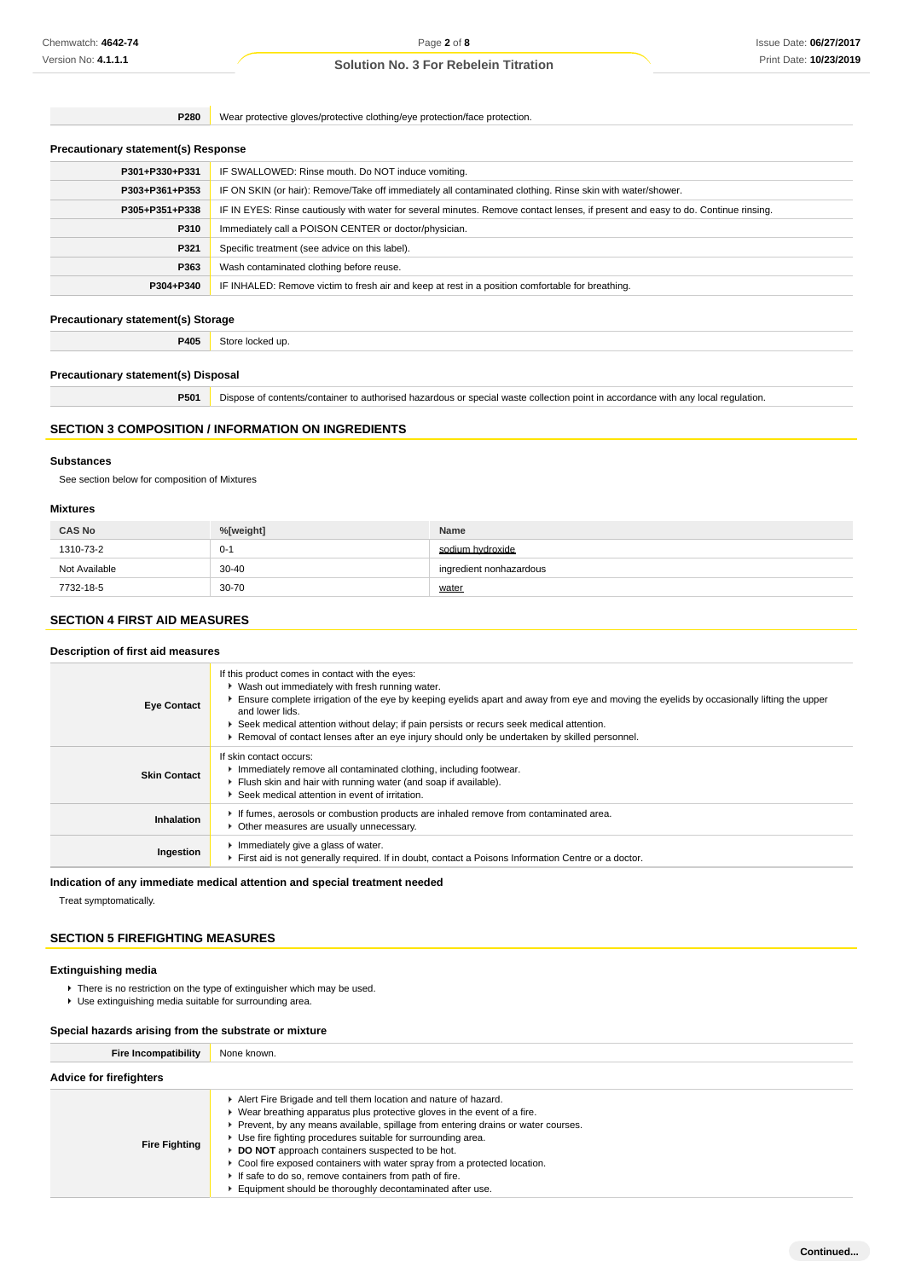**P280** Wear protective gloves/protective clothing/eye protection/face protection.

### **Precautionary statement(s) Response**

| IF SWALLOWED: Rinse mouth. Do NOT induce vomiting.                                                                               |
|----------------------------------------------------------------------------------------------------------------------------------|
| IF ON SKIN (or hair): Remove/Take off immediately all contaminated clothing. Rinse skin with water/shower.                       |
| IF IN EYES: Rinse cautiously with water for several minutes. Remove contact lenses, if present and easy to do. Continue rinsing. |
| Immediately call a POISON CENTER or doctor/physician.                                                                            |
| Specific treatment (see advice on this label).                                                                                   |
| Wash contaminated clothing before reuse.                                                                                         |
| IF INHALED: Remove victim to fresh air and keep at rest in a position comfortable for breathing.                                 |
|                                                                                                                                  |

### **Precautionary statement(s) Storage**

**P405** Store locked up.

### **Precautionary statement(s) Disposal**

**P501** Dispose of contents/container to authorised hazardous or special waste collection point in accordance with any local regulation.

### **SECTION 3 COMPOSITION / INFORMATION ON INGREDIENTS**

### **Substances**

See section below for composition of Mixtures

# **Mixtures**

| <b>CAS No</b> | %[weight] | <b>Name</b>             |
|---------------|-----------|-------------------------|
| 1310-73-2     | $0 - 1$   | sodium hydroxide        |
| Not Available | $30 - 40$ | ingredient nonhazardous |
| 7732-18-5     | $30 - 70$ | water                   |

# **SECTION 4 FIRST AID MEASURES**

#### **Description of first aid measures**

| <b>Eye Contact</b>  | If this product comes in contact with the eyes:<br>▶ Wash out immediately with fresh running water.<br>Ensure complete irrigation of the eye by keeping eyelids apart and away from eye and moving the eyelids by occasionally lifting the upper<br>and lower lids.<br>Seek medical attention without delay; if pain persists or recurs seek medical attention.<br>► Removal of contact lenses after an eye injury should only be undertaken by skilled personnel. |
|---------------------|--------------------------------------------------------------------------------------------------------------------------------------------------------------------------------------------------------------------------------------------------------------------------------------------------------------------------------------------------------------------------------------------------------------------------------------------------------------------|
| <b>Skin Contact</b> | lf skin contact occurs:<br>Immediately remove all contaminated clothing, including footwear.<br>Fiush skin and hair with running water (and soap if available).<br>Seek medical attention in event of irritation.                                                                                                                                                                                                                                                  |
| Inhalation          | If fumes, aerosols or combustion products are inhaled remove from contaminated area.<br>Other measures are usually unnecessary.                                                                                                                                                                                                                                                                                                                                    |
| Ingestion           | Immediately give a glass of water.<br>First aid is not generally required. If in doubt, contact a Poisons Information Centre or a doctor.                                                                                                                                                                                                                                                                                                                          |

#### **Indication of any immediate medical attention and special treatment needed**

Treat symptomatically.

### **SECTION 5 FIREFIGHTING MEASURES**

### **Extinguishing media**

- ▶ There is no restriction on the type of extinguisher which may be used.
- Use extinguishing media suitable for surrounding area.

#### **Special hazards arising from the substrate or mixture**

| <b>Fire Incompatibility</b>    | None known.                                                                                                                                                                                                                                                                                                                                                                                                                                                                                                                                                |
|--------------------------------|------------------------------------------------------------------------------------------------------------------------------------------------------------------------------------------------------------------------------------------------------------------------------------------------------------------------------------------------------------------------------------------------------------------------------------------------------------------------------------------------------------------------------------------------------------|
| <b>Advice for firefighters</b> |                                                                                                                                                                                                                                                                                                                                                                                                                                                                                                                                                            |
| <b>Fire Fighting</b>           | Alert Fire Brigade and tell them location and nature of hazard.<br>▶ Wear breathing apparatus plus protective gloves in the event of a fire.<br>► Prevent, by any means available, spillage from entering drains or water courses.<br>► Use fire fighting procedures suitable for surrounding area.<br>DO NOT approach containers suspected to be hot.<br>► Cool fire exposed containers with water spray from a protected location.<br>If safe to do so, remove containers from path of fire.<br>Equipment should be thoroughly decontaminated after use. |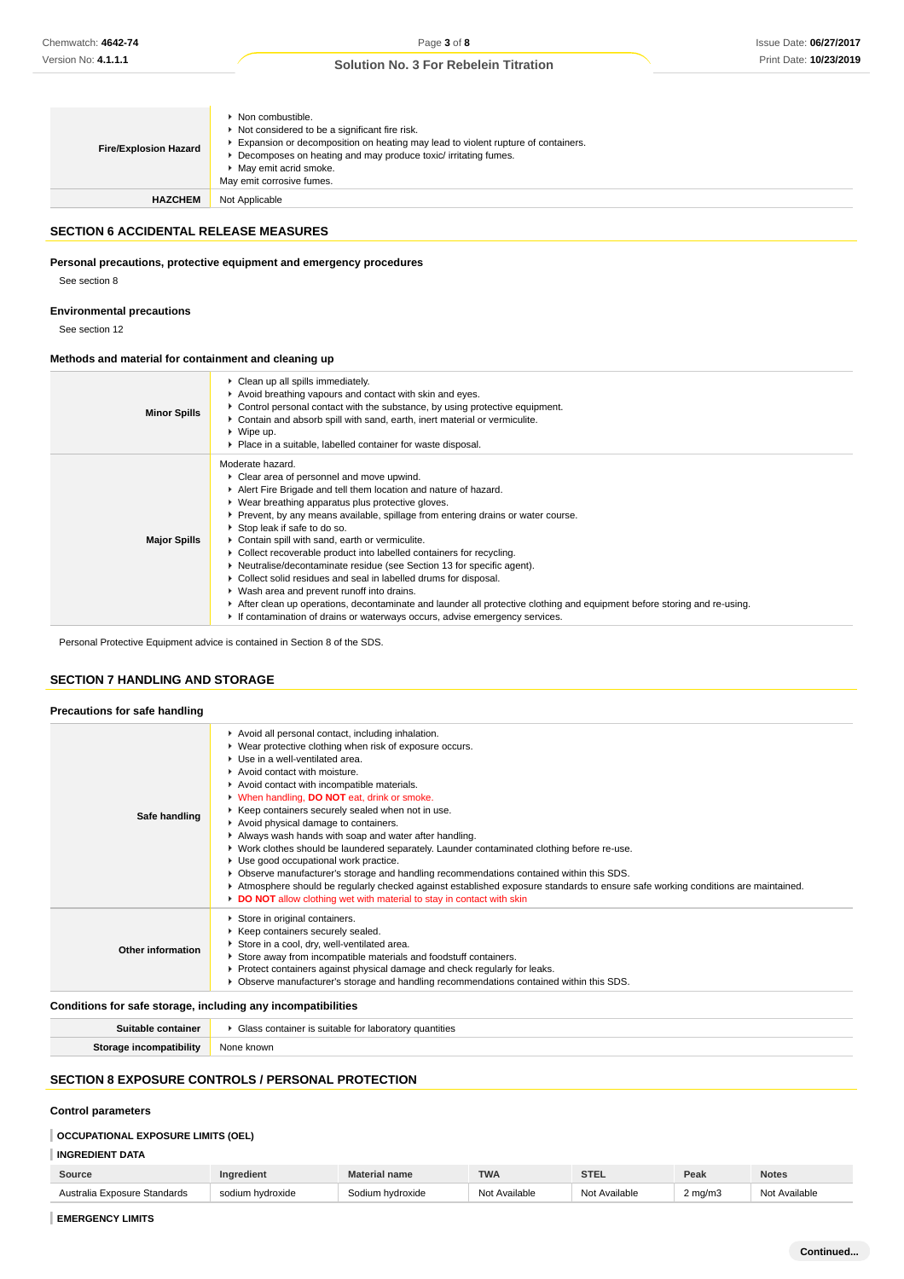| <b>Fire/Explosion Hazard</b> | $\triangleright$ Non combustible.<br>Not considered to be a significant fire risk.<br>Expansion or decomposition on heating may lead to violent rupture of containers.<br>Decomposes on heating and may produce toxic/irritating fumes.<br>▶ May emit acrid smoke.<br>May emit corrosive fumes. |
|------------------------------|-------------------------------------------------------------------------------------------------------------------------------------------------------------------------------------------------------------------------------------------------------------------------------------------------|
| <b>HAZCHEM</b>               | Not Applicable                                                                                                                                                                                                                                                                                  |

### **SECTION 6 ACCIDENTAL RELEASE MEASURES**

### **Personal precautions, protective equipment and emergency procedures**

See section 8

#### **Environmental precautions**

See section 12

### **Methods and material for containment and cleaning up**

| <b>Minor Spills</b> | Clean up all spills immediately.<br>Avoid breathing vapours and contact with skin and eyes.<br>► Control personal contact with the substance, by using protective equipment.<br>► Contain and absorb spill with sand, earth, inert material or vermiculite.<br>$\blacktriangleright$ Wipe up.<br>▶ Place in a suitable, labelled container for waste disposal.                                                                                                                                                                                                                                                                                                                                                                                                                                                                                 |
|---------------------|------------------------------------------------------------------------------------------------------------------------------------------------------------------------------------------------------------------------------------------------------------------------------------------------------------------------------------------------------------------------------------------------------------------------------------------------------------------------------------------------------------------------------------------------------------------------------------------------------------------------------------------------------------------------------------------------------------------------------------------------------------------------------------------------------------------------------------------------|
| <b>Major Spills</b> | Moderate hazard.<br>• Clear area of personnel and move upwind.<br>Alert Fire Brigade and tell them location and nature of hazard.<br>▶ Wear breathing apparatus plus protective gloves.<br>► Prevent, by any means available, spillage from entering drains or water course.<br>Stop leak if safe to do so.<br>Contain spill with sand, earth or vermiculite.<br>▶ Collect recoverable product into labelled containers for recycling.<br>► Neutralise/decontaminate residue (see Section 13 for specific agent).<br>▶ Collect solid residues and seal in labelled drums for disposal.<br>• Wash area and prevent runoff into drains.<br>After clean up operations, decontaminate and launder all protective clothing and equipment before storing and re-using.<br>If contamination of drains or waterways occurs, advise emergency services. |

Personal Protective Equipment advice is contained in Section 8 of the SDS.

## **SECTION 7 HANDLING AND STORAGE**

#### **Precautions for safe handling**

| Safe handling     | Avoid all personal contact, including inhalation.<br>▶ Wear protective clothing when risk of exposure occurs.<br>▶ Use in a well-ventilated area.<br>Avoid contact with moisture.<br>Avoid contact with incompatible materials.<br>V When handling, DO NOT eat, drink or smoke.<br>▶ Keep containers securely sealed when not in use.<br>Avoid physical damage to containers.<br>Always wash hands with soap and water after handling.<br>► Work clothes should be laundered separately. Launder contaminated clothing before re-use.<br>Use good occupational work practice.<br>▶ Observe manufacturer's storage and handling recommendations contained within this SDS.<br>Atmosphere should be regularly checked against established exposure standards to ensure safe working conditions are maintained.<br>DO NOT allow clothing wet with material to stay in contact with skin |
|-------------------|--------------------------------------------------------------------------------------------------------------------------------------------------------------------------------------------------------------------------------------------------------------------------------------------------------------------------------------------------------------------------------------------------------------------------------------------------------------------------------------------------------------------------------------------------------------------------------------------------------------------------------------------------------------------------------------------------------------------------------------------------------------------------------------------------------------------------------------------------------------------------------------|
| Other information | Store in original containers.<br>▶ Keep containers securely sealed.<br>Store in a cool, dry, well-ventilated area.<br>Store away from incompatible materials and foodstuff containers.<br>▶ Protect containers against physical damage and check regularly for leaks.<br>▶ Observe manufacturer's storage and handling recommendations contained within this SDS.                                                                                                                                                                                                                                                                                                                                                                                                                                                                                                                    |

### **Conditions for safe storage, including any incompatibilities**

| $\sim$<br>ililles.<br>. |
|-------------------------|
|                         |

### **SECTION 8 EXPOSURE CONTROLS / PERSONAL PROTECTION**

### **Control parameters**

# **OCCUPATIONAL EXPOSURE LIMITS (OEL)**

# **INGREDIENT DATA**

| Source                       | Inaredient            | <b>Material name</b> | <b>TWA</b>    | <b>STEL</b>   | Peak               | <b>Notes</b>  |
|------------------------------|-----------------------|----------------------|---------------|---------------|--------------------|---------------|
| Australia Exposure Standards | sodium<br>m hvdroxide | Sodium hydroxide     | Not Available | Not Available | $2 \text{ ma/m}$ 3 | Not Available |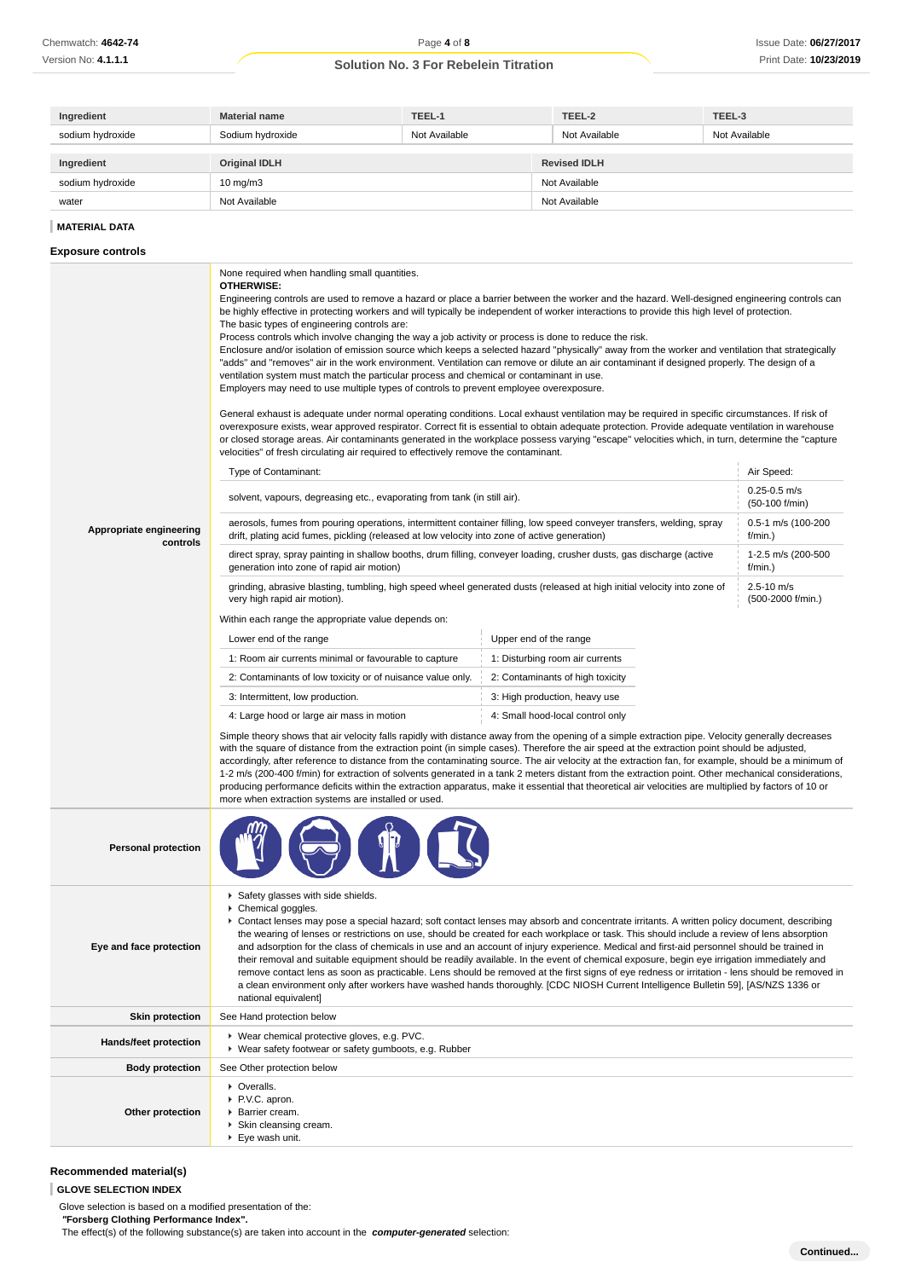| Ingredient       | <b>Material name</b> | TEEL-1        | TEEL-2              | TEEL-3        |
|------------------|----------------------|---------------|---------------------|---------------|
| sodium hydroxide | Sodium hydroxide     | Not Available | Not Available       | Not Available |
|                  |                      |               |                     |               |
| Ingredient       | <b>Original IDLH</b> |               | <b>Revised IDLH</b> |               |
| sodium hydroxide | $10 \text{ mg/m}$    |               | Not Available       |               |
| water            | Not Available        |               | Not Available       |               |
|                  |                      |               |                     |               |

### **MATERIAL DATA**

#### **Exposure controls**

**Appropriate engineering controls** None required when handling small quantities. **OTHERWISE:** Engineering controls are used to remove a hazard or place a barrier between the worker and the hazard. Well-designed engineering controls can be highly effective in protecting workers and will typically be independent of worker interactions to provide this high level of protection. The basic types of engineering controls are: Process controls which involve changing the way a job activity or process is done to reduce the risk. Enclosure and/or isolation of emission source which keeps a selected hazard "physically" away from the worker and ventilation that strategically "adds" and "removes" air in the work environment. Ventilation can remove or dilute an air contaminant if designed properly. The design of a ventilation system must match the particular process and chemical or contaminant in use. Employers may need to use multiple types of controls to prevent employee overexposure. General exhaust is adequate under normal operating conditions. Local exhaust ventilation may be required in specific circumstances. If risk of overexposure exists, wear approved respirator. Correct fit is essential to obtain adequate protection. Provide adequate ventilation in warehouse or closed storage areas. Air contaminants generated in the workplace possess varying "escape" velocities which, in turn, determine the "capture velocities" of fresh circulating air required to effectively remove the contaminant. Type of Contaminant: Air Speed: Air Speed: Air Speed: Air Speed: Air Speed: Air Speed: Air Speed: Air Speed: Air Speed: Air Speed: Air Speed: Air Speed: Air Speed: Air Speed: Air Speed: Air Speed: Air Speed: Air Speed: Air solvent, vapours, degreasing etc., evaporating from tank (in still air). (50-100 f/min) aerosols, fumes from pouring operations, intermittent container filling, low speed conveyer transfers, welding, spray drift, plating acid fumes, pickling (released at low velocity into zone of active generation) 0.5-1 m/s (100-200 f/min.) direct spray, spray painting in shallow booths, drum filling, conveyer loading, crusher dusts, gas discharge (active generation into zone of rapid air motion) 1-2.5 m/s (200-500  $f/min$ ) grinding, abrasive blasting, tumbling, high speed wheel generated dusts (released at high initial velocity into zone of very high rapid air motion).  $2.5 - 10$  m/s (500-2000 f/min.) Within each range the appropriate value depends on: Lower end of the range Upper end of the range 1: Room air currents minimal or favourable to capture | 1: Disturbing room air currents 2: Contaminants of low toxicity or of nuisance value only. 2: Contaminants of high toxicity 3: Intermittent, low production. 3: High production, heavy use 4: Large hood or large air mass in motion 4: Small hood-local control only Simple theory shows that air velocity falls rapidly with distance away from the opening of a simple extraction pipe. Velocity generally decreases with the square of distance from the extraction point (in simple cases). Therefore the air speed at the extraction point should be adjusted. accordingly, after reference to distance from the contaminating source. The air velocity at the extraction fan, for example, should be a minimum of 1-2 m/s (200-400 f/min) for extraction of solvents generated in a tank 2 meters distant from the extraction point. Other mechanical considerations, producing performance deficits within the extraction apparatus, make it essential that theoretical air velocities are multiplied by factors of 10 or more when extraction systems are installed or used. **Personal protection Eye and face protection** Safety glasses with side shields. Chemical goggles. Contact lenses may pose a special hazard; soft contact lenses may absorb and concentrate irritants. A written policy document, describing the wearing of lenses or restrictions on use, should be created for each workplace or task. This should include a review of lens absorption and adsorption for the class of chemicals in use and an account of injury experience. Medical and first-aid personnel should be trained in their removal and suitable equipment should be readily available. In the event of chemical exposure, begin eye irrigation immediately and remove contact lens as soon as practicable. Lens should be removed at the first signs of eye redness or irritation - lens should be removed in a clean environment only after workers have washed hands thoroughly. [CDC NIOSH Current Intelligence Bulletin 59], [AS/NZS 1336 or national equivalent] **Skin protection** See Hand protection below Hands/feet protection **Wear chemical protective gloves, e.g. PVC.** Wear safety footwear or safety gumboots, e.g. Rubber **Body protection** See Other protection below **Other protection** • Overalls. P.V.C. apron. Barrier cream. Skin cleansing cream. Eye wash unit.

#### **Recommended material(s)**

**GLOVE SELECTION INDEX**

Glove selection is based on a modified presentation of the:  **"Forsberg Clothing Performance Index".** The effect(s) of the following substance(s) are taken into account in the **computer-generated** selection: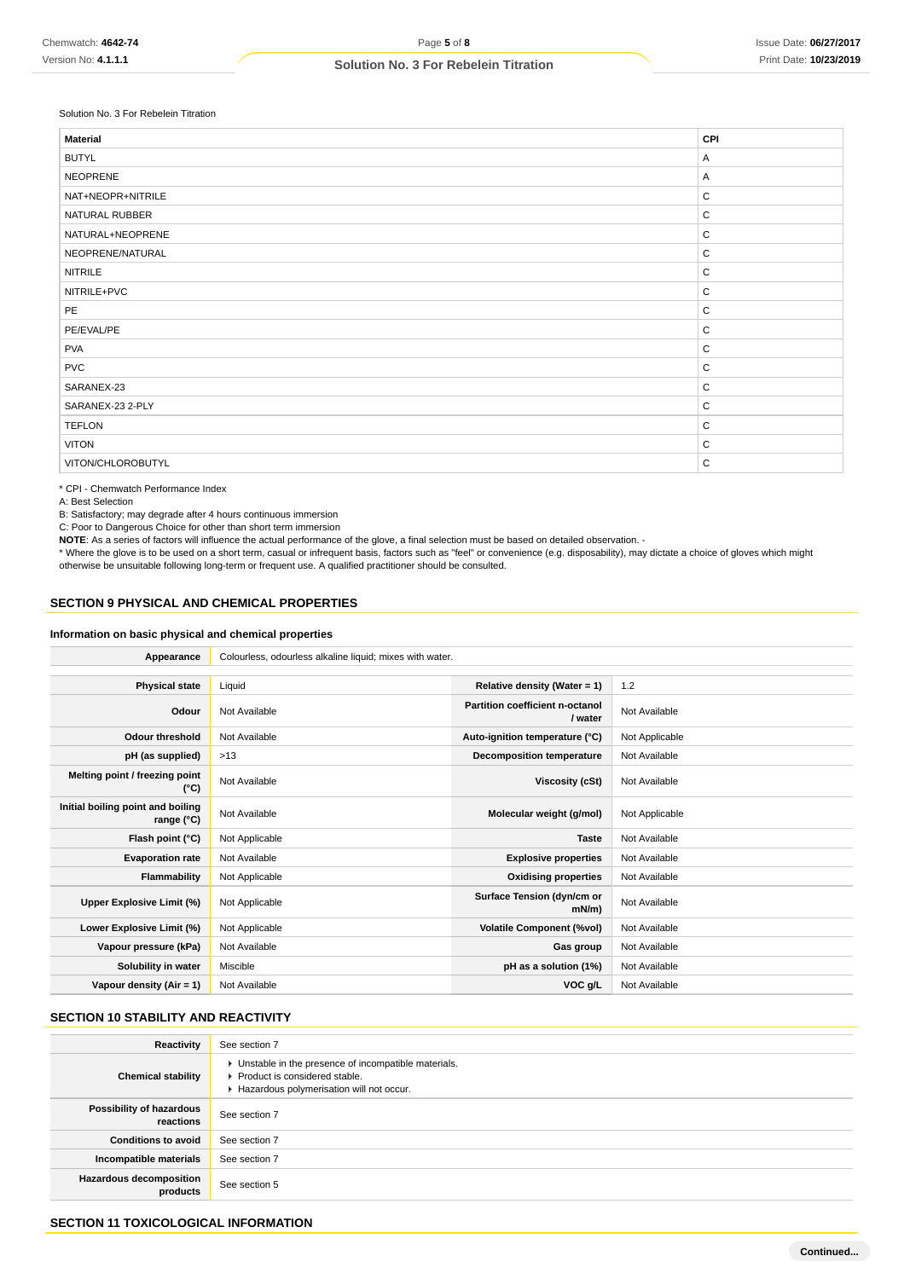### Solution No. 3 For Rebelein Titration

| <b>Material</b>   | CPI          |
|-------------------|--------------|
| <b>BUTYL</b>      | Α            |
| <b>NEOPRENE</b>   | Α            |
| NAT+NEOPR+NITRILE | $\mathsf{C}$ |
| NATURAL RUBBER    | $\mathsf{C}$ |
| NATURAL+NEOPRENE  | $\mathsf C$  |
| NEOPRENE/NATURAL  | $\mathsf C$  |
| <b>NITRILE</b>    | $\mathsf C$  |
| NITRILE+PVC       | $\mathsf C$  |
| PE                | $\mathsf C$  |
| PE/EVAL/PE        | $\mathsf{C}$ |
| <b>PVA</b>        | $\mathsf C$  |
| <b>PVC</b>        | $\mathsf C$  |
| SARANEX-23        | $\mathsf{C}$ |
| SARANEX-23 2-PLY  | $\mathsf C$  |
| <b>TEFLON</b>     | $\mathsf{C}$ |
| <b>VITON</b>      | $\mathsf{C}$ |
| VITON/CHLOROBUTYL | $\mathsf{C}$ |

\* CPI - Chemwatch Performance Index

A: Best Selection

B: Satisfactory; may degrade after 4 hours continuous immersion

C: Poor to Dangerous Choice for other than short term immersion

**NOTE**: As a series of factors will influence the actual performance of the glove, a final selection must be based on detailed observation. -

\* Where the glove is to be used on a short term, casual or infrequent basis, factors such as "feel" or convenience (e.g. disposability), may dictate a choice of gloves which might otherwise be unsuitable following long-term or frequent use. A qualified practitioner should be consulted.

### **SECTION 9 PHYSICAL AND CHEMICAL PROPERTIES**

#### **Information on basic physical and chemical properties**

| Appearance                                      | Colourless, odourless alkaline liquid; mixes with water. |                                            |                |
|-------------------------------------------------|----------------------------------------------------------|--------------------------------------------|----------------|
|                                                 |                                                          |                                            |                |
| <b>Physical state</b>                           | Liquid                                                   | Relative density (Water = $1$ )            | 1.2            |
| Odour                                           | Not Available                                            | Partition coefficient n-octanol<br>/ water | Not Available  |
| <b>Odour threshold</b>                          | Not Available                                            | Auto-ignition temperature (°C)             | Not Applicable |
| pH (as supplied)                                | >13                                                      | Decomposition temperature                  | Not Available  |
| Melting point / freezing point<br>(°C)          | Not Available                                            | Viscosity (cSt)                            | Not Available  |
| Initial boiling point and boiling<br>range (°C) | Not Available                                            | Molecular weight (g/mol)                   | Not Applicable |
| Flash point (°C)                                | Not Applicable                                           | <b>Taste</b>                               | Not Available  |
| <b>Evaporation rate</b>                         | Not Available                                            | <b>Explosive properties</b>                | Not Available  |
| Flammability                                    | Not Applicable                                           | <b>Oxidising properties</b>                | Not Available  |
| Upper Explosive Limit (%)                       | Not Applicable                                           | Surface Tension (dyn/cm or<br>$mN/m$ )     | Not Available  |
| Lower Explosive Limit (%)                       | Not Applicable                                           | <b>Volatile Component (%vol)</b>           | Not Available  |
| Vapour pressure (kPa)                           | Not Available                                            | Gas group                                  | Not Available  |
| Solubility in water                             | Miscible                                                 | pH as a solution (1%)                      | Not Available  |
| Vapour density (Air = 1)                        | Not Available                                            | VOC g/L                                    | Not Available  |

### **SECTION 10 STABILITY AND REACTIVITY**

| Reactivity                                 | See section 7                                                                                                                        |
|--------------------------------------------|--------------------------------------------------------------------------------------------------------------------------------------|
| <b>Chemical stability</b>                  | • Unstable in the presence of incompatible materials.<br>▶ Product is considered stable.<br>Hazardous polymerisation will not occur. |
| Possibility of hazardous<br>reactions      | See section 7                                                                                                                        |
| <b>Conditions to avoid</b>                 | See section 7                                                                                                                        |
| Incompatible materials                     | See section 7                                                                                                                        |
| <b>Hazardous decomposition</b><br>products | See section 5                                                                                                                        |

### **SECTION 11 TOXICOLOGICAL INFORMATION**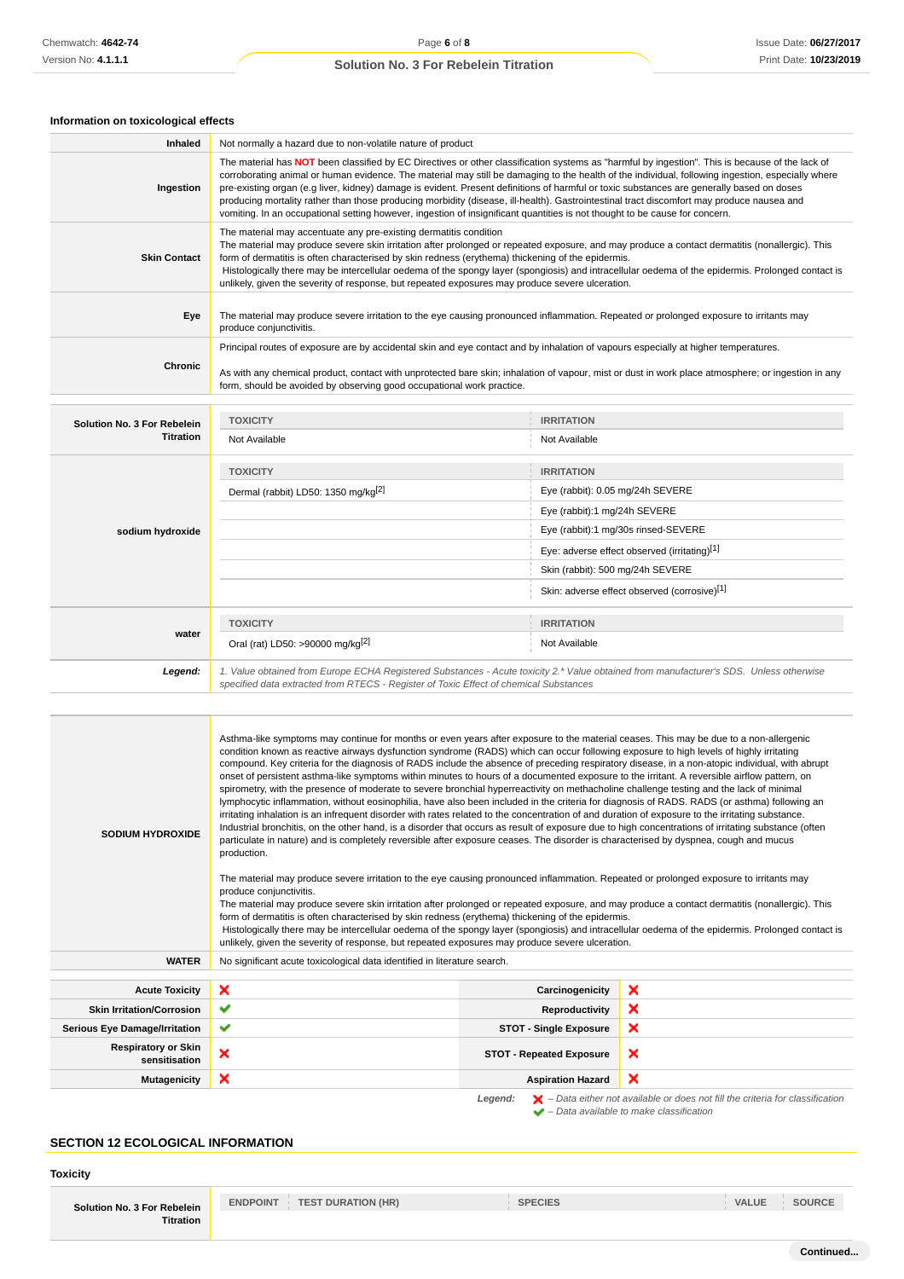# **Information on toxicological effects**

| Ingestion<br><b>Skin Contact</b><br>Eye<br>produce conjunctivitis.<br>Chronic | The material may accentuate any pre-existing dermatitis condition<br>form, should be avoided by observing good occupational work practice. | The material has NOT been classified by EC Directives or other classification systems as "harmful by ingestion". This is because of the lack of<br>corroborating animal or human evidence. The material may still be damaging to the health of the individual, following ingestion, especially where<br>pre-existing organ (e.g liver, kidney) damage is evident. Present definitions of harmful or toxic substances are generally based on doses<br>producing mortality rather than those producing morbidity (disease, ill-health). Gastrointestinal tract discomfort may produce nausea and<br>vomiting. In an occupational setting however, ingestion of insignificant quantities is not thought to be cause for concern.<br>The material may produce severe skin irritation after prolonged or repeated exposure, and may produce a contact dermatitis (nonallergic). This<br>form of dermatitis is often characterised by skin redness (erythema) thickening of the epidermis.<br>Histologically there may be intercellular oedema of the spongy layer (spongiosis) and intracellular oedema of the epidermis. Prolonged contact is<br>unlikely, given the severity of response, but repeated exposures may produce severe ulceration.<br>The material may produce severe irritation to the eye causing pronounced inflammation. Repeated or prolonged exposure to irritants may<br>Principal routes of exposure are by accidental skin and eye contact and by inhalation of vapours especially at higher temperatures.<br>As with any chemical product, contact with unprotected bare skin; inhalation of vapour, mist or dust in work place atmosphere; or ingestion in any |
|-------------------------------------------------------------------------------|--------------------------------------------------------------------------------------------------------------------------------------------|-------------------------------------------------------------------------------------------------------------------------------------------------------------------------------------------------------------------------------------------------------------------------------------------------------------------------------------------------------------------------------------------------------------------------------------------------------------------------------------------------------------------------------------------------------------------------------------------------------------------------------------------------------------------------------------------------------------------------------------------------------------------------------------------------------------------------------------------------------------------------------------------------------------------------------------------------------------------------------------------------------------------------------------------------------------------------------------------------------------------------------------------------------------------------------------------------------------------------------------------------------------------------------------------------------------------------------------------------------------------------------------------------------------------------------------------------------------------------------------------------------------------------------------------------------------------------------------------------------------------------------------------------------------------------------------|
|                                                                               |                                                                                                                                            |                                                                                                                                                                                                                                                                                                                                                                                                                                                                                                                                                                                                                                                                                                                                                                                                                                                                                                                                                                                                                                                                                                                                                                                                                                                                                                                                                                                                                                                                                                                                                                                                                                                                                     |
|                                                                               |                                                                                                                                            |                                                                                                                                                                                                                                                                                                                                                                                                                                                                                                                                                                                                                                                                                                                                                                                                                                                                                                                                                                                                                                                                                                                                                                                                                                                                                                                                                                                                                                                                                                                                                                                                                                                                                     |
|                                                                               |                                                                                                                                            |                                                                                                                                                                                                                                                                                                                                                                                                                                                                                                                                                                                                                                                                                                                                                                                                                                                                                                                                                                                                                                                                                                                                                                                                                                                                                                                                                                                                                                                                                                                                                                                                                                                                                     |
|                                                                               |                                                                                                                                            |                                                                                                                                                                                                                                                                                                                                                                                                                                                                                                                                                                                                                                                                                                                                                                                                                                                                                                                                                                                                                                                                                                                                                                                                                                                                                                                                                                                                                                                                                                                                                                                                                                                                                     |
| <b>TOXICITY</b>                                                               |                                                                                                                                            | <b>IRRITATION</b>                                                                                                                                                                                                                                                                                                                                                                                                                                                                                                                                                                                                                                                                                                                                                                                                                                                                                                                                                                                                                                                                                                                                                                                                                                                                                                                                                                                                                                                                                                                                                                                                                                                                   |
| Solution No. 3 For Rebelein<br><b>Titration</b><br>Not Available              |                                                                                                                                            | Not Available                                                                                                                                                                                                                                                                                                                                                                                                                                                                                                                                                                                                                                                                                                                                                                                                                                                                                                                                                                                                                                                                                                                                                                                                                                                                                                                                                                                                                                                                                                                                                                                                                                                                       |
| <b>TOXICITY</b>                                                               |                                                                                                                                            | <b>IRRITATION</b>                                                                                                                                                                                                                                                                                                                                                                                                                                                                                                                                                                                                                                                                                                                                                                                                                                                                                                                                                                                                                                                                                                                                                                                                                                                                                                                                                                                                                                                                                                                                                                                                                                                                   |
|                                                                               | Dermal (rabbit) LD50: 1350 mg/kg <sup>[2]</sup>                                                                                            | Eye (rabbit): 0.05 mg/24h SEVERE                                                                                                                                                                                                                                                                                                                                                                                                                                                                                                                                                                                                                                                                                                                                                                                                                                                                                                                                                                                                                                                                                                                                                                                                                                                                                                                                                                                                                                                                                                                                                                                                                                                    |
|                                                                               |                                                                                                                                            | Eye (rabbit):1 mg/24h SEVERE                                                                                                                                                                                                                                                                                                                                                                                                                                                                                                                                                                                                                                                                                                                                                                                                                                                                                                                                                                                                                                                                                                                                                                                                                                                                                                                                                                                                                                                                                                                                                                                                                                                        |
| sodium hydroxide                                                              |                                                                                                                                            | Eye (rabbit):1 mg/30s rinsed-SEVERE                                                                                                                                                                                                                                                                                                                                                                                                                                                                                                                                                                                                                                                                                                                                                                                                                                                                                                                                                                                                                                                                                                                                                                                                                                                                                                                                                                                                                                                                                                                                                                                                                                                 |
|                                                                               |                                                                                                                                            | Eye: adverse effect observed (irritating)[1]                                                                                                                                                                                                                                                                                                                                                                                                                                                                                                                                                                                                                                                                                                                                                                                                                                                                                                                                                                                                                                                                                                                                                                                                                                                                                                                                                                                                                                                                                                                                                                                                                                        |
|                                                                               | Skin (rabbit): 500 mg/24h SEVERE                                                                                                           |                                                                                                                                                                                                                                                                                                                                                                                                                                                                                                                                                                                                                                                                                                                                                                                                                                                                                                                                                                                                                                                                                                                                                                                                                                                                                                                                                                                                                                                                                                                                                                                                                                                                                     |
|                                                                               |                                                                                                                                            | Skin: adverse effect observed (corrosive)[1]                                                                                                                                                                                                                                                                                                                                                                                                                                                                                                                                                                                                                                                                                                                                                                                                                                                                                                                                                                                                                                                                                                                                                                                                                                                                                                                                                                                                                                                                                                                                                                                                                                        |
| <b>TOXICITY</b>                                                               |                                                                                                                                            | <b>IRRITATION</b>                                                                                                                                                                                                                                                                                                                                                                                                                                                                                                                                                                                                                                                                                                                                                                                                                                                                                                                                                                                                                                                                                                                                                                                                                                                                                                                                                                                                                                                                                                                                                                                                                                                                   |
| water<br>Oral (rat) LD50: >90000 mg/kg <sup>[2]</sup>                         |                                                                                                                                            | Not Available                                                                                                                                                                                                                                                                                                                                                                                                                                                                                                                                                                                                                                                                                                                                                                                                                                                                                                                                                                                                                                                                                                                                                                                                                                                                                                                                                                                                                                                                                                                                                                                                                                                                       |
| Legend:                                                                       | specified data extracted from RTECS - Register of Toxic Effect of chemical Substances                                                      | 1. Value obtained from Europe ECHA Registered Substances - Acute toxicity 2.* Value obtained from manufacturer's SDS. Unless otherwise                                                                                                                                                                                                                                                                                                                                                                                                                                                                                                                                                                                                                                                                                                                                                                                                                                                                                                                                                                                                                                                                                                                                                                                                                                                                                                                                                                                                                                                                                                                                              |

| <b>SODIUM HYDROXIDE</b>                     | Asthma-like symptoms may continue for months or even years after exposure to the material ceases. This may be due to a non-allergenic<br>condition known as reactive airways dysfunction syndrome (RADS) which can occur following exposure to high levels of highly irritating<br>compound. Key criteria for the diagnosis of RADS include the absence of preceding respiratory disease, in a non-atopic individual, with abrupt<br>onset of persistent asthma-like symptoms within minutes to hours of a documented exposure to the irritant. A reversible airflow pattern, on<br>spirometry, with the presence of moderate to severe bronchial hyperreactivity on methacholine challenge testing and the lack of minimal<br>lymphocytic inflammation, without eosinophilia, have also been included in the criteria for diagnosis of RADS. RADS (or asthma) following an<br>irritating inhalation is an infrequent disorder with rates related to the concentration of and duration of exposure to the irritating substance.<br>Industrial bronchitis, on the other hand, is a disorder that occurs as result of exposure due to high concentrations of irritating substance (often<br>particulate in nature) and is completely reversible after exposure ceases. The disorder is characterised by dyspnea, cough and mucus<br>production.<br>The material may produce severe irritation to the eye causing pronounced inflammation. Repeated or prolonged exposure to irritants may<br>produce conjunctivitis.<br>The material may produce severe skin irritation after prolonged or repeated exposure, and may produce a contact dermatitis (nonallergic). This<br>form of dermatitis is often characterised by skin redness (erythema) thickening of the epidermis.<br>Histologically there may be intercellular oedema of the spongy layer (spongiosis) and intracellular oedema of the epidermis. Prolonged contact is<br>unlikely, given the severity of response, but repeated exposures may produce severe ulceration. |                                 |                                                                                                    |
|---------------------------------------------|-----------------------------------------------------------------------------------------------------------------------------------------------------------------------------------------------------------------------------------------------------------------------------------------------------------------------------------------------------------------------------------------------------------------------------------------------------------------------------------------------------------------------------------------------------------------------------------------------------------------------------------------------------------------------------------------------------------------------------------------------------------------------------------------------------------------------------------------------------------------------------------------------------------------------------------------------------------------------------------------------------------------------------------------------------------------------------------------------------------------------------------------------------------------------------------------------------------------------------------------------------------------------------------------------------------------------------------------------------------------------------------------------------------------------------------------------------------------------------------------------------------------------------------------------------------------------------------------------------------------------------------------------------------------------------------------------------------------------------------------------------------------------------------------------------------------------------------------------------------------------------------------------------------------------------------------------------------------------------------------------------------------------------------|---------------------------------|----------------------------------------------------------------------------------------------------|
| <b>WATER</b>                                | No significant acute toxicological data identified in literature search.                                                                                                                                                                                                                                                                                                                                                                                                                                                                                                                                                                                                                                                                                                                                                                                                                                                                                                                                                                                                                                                                                                                                                                                                                                                                                                                                                                                                                                                                                                                                                                                                                                                                                                                                                                                                                                                                                                                                                          |                                 |                                                                                                    |
| <b>Acute Toxicity</b>                       | ×                                                                                                                                                                                                                                                                                                                                                                                                                                                                                                                                                                                                                                                                                                                                                                                                                                                                                                                                                                                                                                                                                                                                                                                                                                                                                                                                                                                                                                                                                                                                                                                                                                                                                                                                                                                                                                                                                                                                                                                                                                 | Carcinogenicity                 | ×                                                                                                  |
| <b>Skin Irritation/Corrosion</b>            | ✔                                                                                                                                                                                                                                                                                                                                                                                                                                                                                                                                                                                                                                                                                                                                                                                                                                                                                                                                                                                                                                                                                                                                                                                                                                                                                                                                                                                                                                                                                                                                                                                                                                                                                                                                                                                                                                                                                                                                                                                                                                 | Reproductivity                  | ×                                                                                                  |
| <b>Serious Eye Damage/Irritation</b>        | ✔                                                                                                                                                                                                                                                                                                                                                                                                                                                                                                                                                                                                                                                                                                                                                                                                                                                                                                                                                                                                                                                                                                                                                                                                                                                                                                                                                                                                                                                                                                                                                                                                                                                                                                                                                                                                                                                                                                                                                                                                                                 | <b>STOT - Single Exposure</b>   | ×                                                                                                  |
| <b>Respiratory or Skin</b><br>sensitisation | ×                                                                                                                                                                                                                                                                                                                                                                                                                                                                                                                                                                                                                                                                                                                                                                                                                                                                                                                                                                                                                                                                                                                                                                                                                                                                                                                                                                                                                                                                                                                                                                                                                                                                                                                                                                                                                                                                                                                                                                                                                                 | <b>STOT - Repeated Exposure</b> | ×                                                                                                  |
| <b>Mutagenicity</b>                         | ×                                                                                                                                                                                                                                                                                                                                                                                                                                                                                                                                                                                                                                                                                                                                                                                                                                                                                                                                                                                                                                                                                                                                                                                                                                                                                                                                                                                                                                                                                                                                                                                                                                                                                                                                                                                                                                                                                                                                                                                                                                 | <b>Aspiration Hazard</b>        | ×                                                                                                  |
|                                             |                                                                                                                                                                                                                                                                                                                                                                                                                                                                                                                                                                                                                                                                                                                                                                                                                                                                                                                                                                                                                                                                                                                                                                                                                                                                                                                                                                                                                                                                                                                                                                                                                                                                                                                                                                                                                                                                                                                                                                                                                                   | Legend:                         | $\blacktriangleright$ - Data either not available or does not fill the criteria for classification |

 $\blacktriangleright$  – Data available to make classification

# **SECTION 12 ECOLOGICAL INFORMATION**

**Toxicity**

| Solution No. 3 For Rebelein |  |
|-----------------------------|--|
| <b>Titration</b>            |  |

**ENDPOINT TEST DURATION (HR) SPECIES VALUE SOURCE**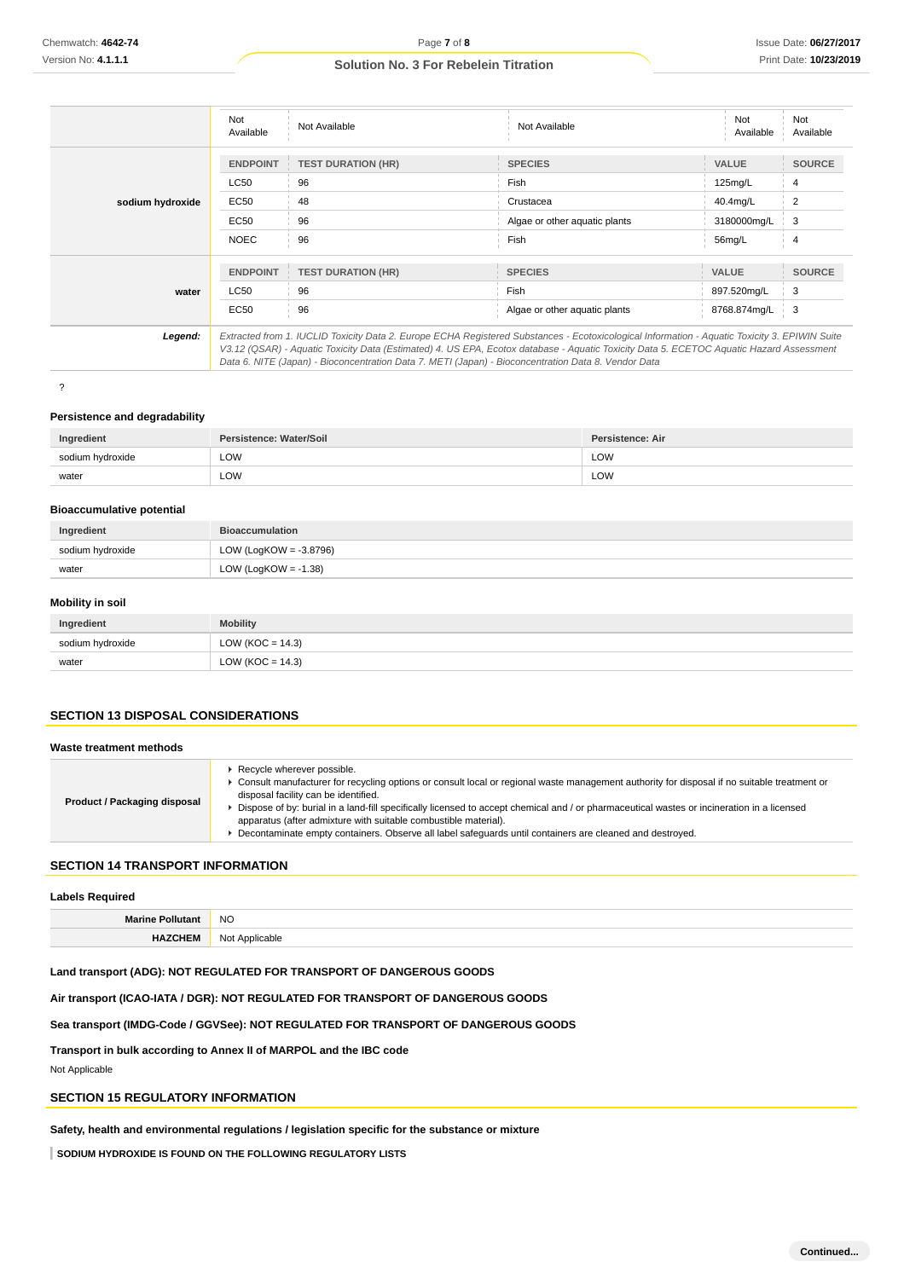|                  | Not<br>Available | Not Available             | Not Available                                                                                                                                                                                                                                                                            | Not<br>Available | Not<br>Available |
|------------------|------------------|---------------------------|------------------------------------------------------------------------------------------------------------------------------------------------------------------------------------------------------------------------------------------------------------------------------------------|------------------|------------------|
|                  | <b>ENDPOINT</b>  | <b>TEST DURATION (HR)</b> | <b>SPECIES</b>                                                                                                                                                                                                                                                                           | <b>VALUE</b>     | <b>SOURCE</b>    |
|                  | LC50             | 96                        | Fish                                                                                                                                                                                                                                                                                     | 125mg/L          | 4                |
| sodium hydroxide | EC50             | 48                        | Crustacea                                                                                                                                                                                                                                                                                | 40.4mg/L         | 2                |
|                  | <b>EC50</b>      | 96                        | Algae or other aguatic plants                                                                                                                                                                                                                                                            | 3180000mg/L      | 3                |
|                  | <b>NOEC</b>      | 96                        | Fish                                                                                                                                                                                                                                                                                     | 56mg/L           | 4                |
|                  | <b>ENDPOINT</b>  | <b>TEST DURATION (HR)</b> | <b>SPECIES</b>                                                                                                                                                                                                                                                                           | <b>VALUE</b>     | <b>SOURCE</b>    |
| water            | LC50             | 96                        | Fish                                                                                                                                                                                                                                                                                     | 897.520mg/L      | 3                |
|                  | EC50             | 96                        | Algae or other aquatic plants                                                                                                                                                                                                                                                            | 8768.874mg/L     | 3                |
| Legend:          |                  |                           | Extracted from 1. IUCLID Toxicity Data 2. Europe ECHA Registered Substances - Ecotoxicological Information - Aquatic Toxicity 3. EPIWIN Suite<br>V3.12 (QSAR) - Aquatic Toxicity Data (Estimated) 4. US EPA, Ecotox database - Aquatic Toxicity Data 5. ECETOC Aquatic Hazard Assessment |                  |                  |

?

#### **Persistence and degradability**

| Ingredient       | Persistence: Water/Soil | Persistence: Air |
|------------------|-------------------------|------------------|
| sodium hydroxide | LOW<br>$\sim$ $\sim$    | LOW              |
| water            | LOW<br>$\sim$ $\sim$    | LOW              |

Data 6. NITE (Japan) - Bioconcentration Data 7. METI (Japan) - Bioconcentration Data 8. Vendor Data

#### **Bioaccumulative potential**

| Ingredient       | <b>Bioaccumulation</b>    |
|------------------|---------------------------|
| sodium hydroxide | LOW (LogKOW = $-3.8796$ ) |
| water            | LOW (LogKOW = $-1.38$ )   |

### **Mobility in soil**

| Ingredient       | <b>Mobility</b>      |
|------------------|----------------------|
| sodium hydroxide | LOW ( $KOC = 14.3$ ) |
| water            | LOW (KOC = $14.3$ )  |

### **SECTION 13 DISPOSAL CONSIDERATIONS**

| Waste treatment methods      |                                                                                                                                                                                                                                                                                                                                                                                                                                                                                                                                                |
|------------------------------|------------------------------------------------------------------------------------------------------------------------------------------------------------------------------------------------------------------------------------------------------------------------------------------------------------------------------------------------------------------------------------------------------------------------------------------------------------------------------------------------------------------------------------------------|
| Product / Packaging disposal | Recycle wherever possible.<br>Consult manufacturer for recycling options or consult local or regional waste management authority for disposal if no suitable treatment or<br>disposal facility can be identified.<br>Dispose of by: burial in a land-fill specifically licensed to accept chemical and / or pharmaceutical wastes or incineration in a licensed<br>apparatus (after admixture with suitable combustible material).<br>Decontaminate empty containers. Observe all label safequards until containers are cleaned and destroyed. |
|                              |                                                                                                                                                                                                                                                                                                                                                                                                                                                                                                                                                |

### **SECTION 14 TRANSPORT INFORMATION**

| <b>Labels Required</b> |                |  |
|------------------------|----------------|--|
| — Marine Pollutar*     | <b>NO</b>      |  |
| <b>HAZCHEM</b>         | Not Applicable |  |

**Land transport (ADG): NOT REGULATED FOR TRANSPORT OF DANGEROUS GOODS**

**Air transport (ICAO-IATA / DGR): NOT REGULATED FOR TRANSPORT OF DANGEROUS GOODS**

**Sea transport (IMDG-Code / GGVSee): NOT REGULATED FOR TRANSPORT OF DANGEROUS GOODS**

**Transport in bulk according to Annex II of MARPOL and the IBC code**

Not Applicable

### **SECTION 15 REGULATORY INFORMATION**

**Safety, health and environmental regulations / legislation specific for the substance or mixture**

**SODIUM HYDROXIDE IS FOUND ON THE FOLLOWING REGULATORY LISTS**